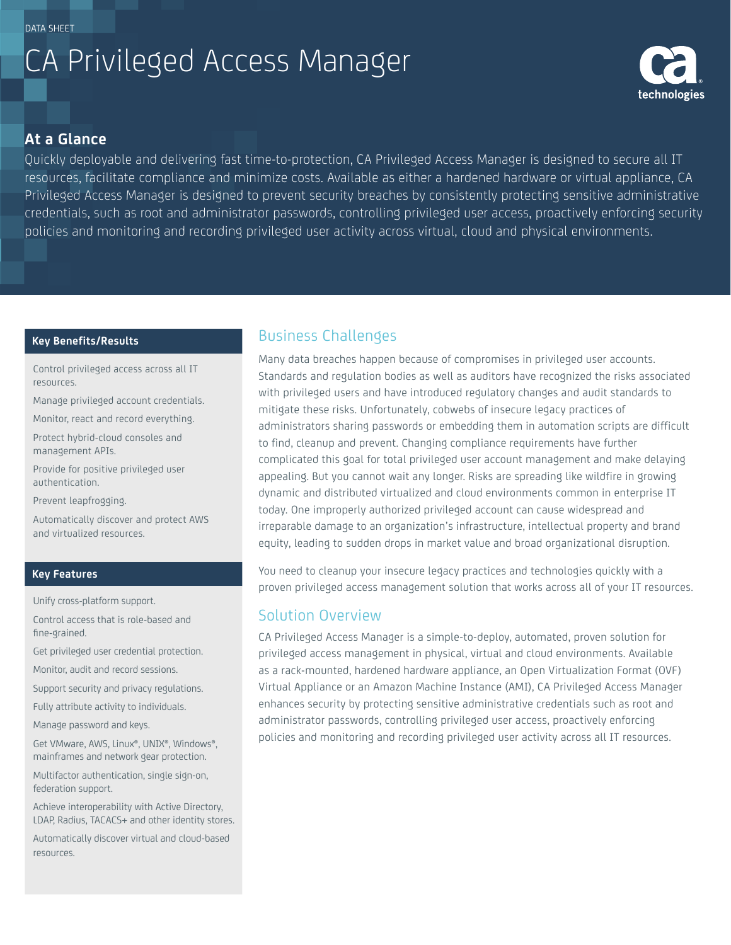# CA Privileged Access Manager



## **At a Glance**

Quickly deployable and delivering fast time-to-protection, CA Privileged Access Manager is designed to secure all IT resources, facilitate compliance and minimize costs. Available as either a hardened hardware or virtual appliance, CA Privileged Access Manager is designed to prevent security breaches by consistently protecting sensitive administrative credentials, such as root and administrator passwords, controlling privileged user access, proactively enforcing security policies and monitoring and recording privileged user activity across virtual, cloud and physical environments.

#### **Key Benefits/Results**

Control privileged access across all IT resources.

Manage privileged account credentials.

Monitor, react and record everything.

Protect hybrid-cloud consoles and management APIs.

Provide for positive privileged user authentication.

Prevent leapfrogging.

Automatically discover and protect AWS and virtualized resources.

#### **Key Features**

Unify cross-platform support.

Control access that is role-based and fine-grained.

Get privileged user credential protection.

Monitor, audit and record sessions.

Support security and privacy regulations.

Fully attribute activity to individuals.

Manage password and keys.

Get VMware, AWS, Linux®, UNIX®, Windows®, mainframes and network gear protection.

Multifactor authentication, single sign-on, federation support.

Achieve interoperability with Active Directory, LDAP, Radius, TACACS+ and other identity stores.

Automatically discover virtual and cloud-based resources.

# Business Challenges

Many data breaches happen because of compromises in privileged user accounts. Standards and regulation bodies as well as auditors have recognized the risks associated with privileged users and have introduced regulatory changes and audit standards to mitigate these risks. Unfortunately, cobwebs of insecure legacy practices of administrators sharing passwords or embedding them in automation scripts are difficult to find, cleanup and prevent. Changing compliance requirements have further complicated this goal for total privileged user account management and make delaying appealing. But you cannot wait any longer. Risks are spreading like wildfire in growing dynamic and distributed virtualized and cloud environments common in enterprise IT today. One improperly authorized privileged account can cause widespread and irreparable damage to an organization's infrastructure, intellectual property and brand equity, leading to sudden drops in market value and broad organizational disruption.

You need to cleanup your insecure legacy practices and technologies quickly with a proven privileged access management solution that works across all of your IT resources.

# Solution Overview

CA Privileged Access Manager is a simple-to-deploy, automated, proven solution for privileged access management in physical, virtual and cloud environments. Available as a rack-mounted, hardened hardware appliance, an Open Virtualization Format (OVF) Virtual Appliance or an Amazon Machine Instance (AMI), CA Privileged Access Manager enhances security by protecting sensitive administrative credentials such as root and administrator passwords, controlling privileged user access, proactively enforcing policies and monitoring and recording privileged user activity across all IT resources.